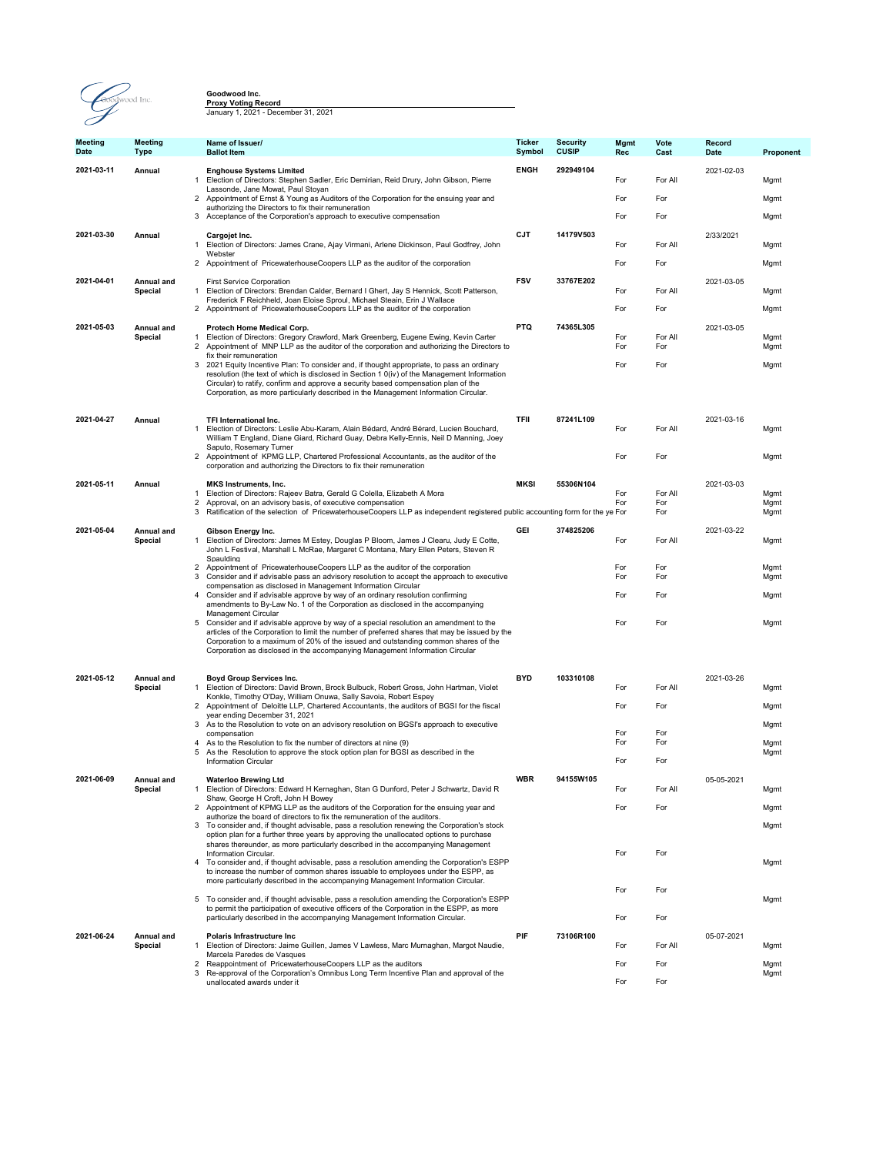

**Goodwood Inc.**<br><mark>Proxy Voting Record</mark><br>January 1, 2021 - December 31, 2021

| <b>Meeting</b><br>Date | <b>Meeting</b><br><b>Type</b> | Name of Issuer/<br><b>Ballot Item</b>                                                                                                                                                                                                                                                                                                                                                            | Ticker<br>Symbol | <b>Security</b><br><b>CUSIP</b> | Mgmt<br>Rec | Vote<br>Cast   | Record<br>Date | Proponent    |
|------------------------|-------------------------------|--------------------------------------------------------------------------------------------------------------------------------------------------------------------------------------------------------------------------------------------------------------------------------------------------------------------------------------------------------------------------------------------------|------------------|---------------------------------|-------------|----------------|----------------|--------------|
| 2021-03-11             | Annual<br>$\mathbf{1}$        | <b>Enghouse Systems Limited</b><br>Election of Directors: Stephen Sadler, Eric Demirian, Reid Drury, John Gibson, Pierre<br>Lassonde, Jane Mowat, Paul Stoyan                                                                                                                                                                                                                                    | <b>ENGH</b>      | 292949104                       | For         | For All        | 2021-02-03     | Mgmt         |
|                        |                               | 2 Appointment of Ernst & Young as Auditors of the Corporation for the ensuing year and<br>authorizing the Directors to fix their remuneration                                                                                                                                                                                                                                                    |                  |                                 | For         | For            |                | Mgmt         |
|                        |                               | 3 Acceptance of the Corporation's approach to executive compensation                                                                                                                                                                                                                                                                                                                             |                  |                                 | For         | For            |                | Mgmt         |
| 2021-03-30             | Annual                        | Cargojet Inc.<br>1 Election of Directors: James Crane, Ajay Virmani, Arlene Dickinson, Paul Godfrey, John<br>Webster                                                                                                                                                                                                                                                                             | <b>CJT</b>       | 14179V503                       | For         | For All        | 2/33/2021      | Mgmt         |
|                        |                               | 2 Appointment of PricewaterhouseCoopers LLP as the auditor of the corporation                                                                                                                                                                                                                                                                                                                    |                  |                                 | For         | For            |                | Mgmt         |
| 2021-04-01             | Annual and<br>Special<br>1    | <b>First Service Corporation</b><br>Election of Directors: Brendan Calder, Bernard I Ghert, Jay S Hennick, Scott Patterson,                                                                                                                                                                                                                                                                      | <b>FSV</b>       | 33767E202                       | For         | For All        | 2021-03-05     | Mgmt         |
|                        |                               | Frederick F Reichheld, Joan Eloise Sproul, Michael Steain, Erin J Wallace<br>Appointment of PricewaterhouseCoopers LLP as the auditor of the corporation<br>2                                                                                                                                                                                                                                    |                  |                                 | For         | For            |                | Mgmt         |
| 2021-05-03             | Annual and                    | Protech Home Medical Corp.                                                                                                                                                                                                                                                                                                                                                                       | <b>PTQ</b>       | 74365L305                       |             |                | 2021-03-05     |              |
|                        | Special                       | Election of Directors: Gregory Crawford, Mark Greenberg, Eugene Ewing, Kevin Carter<br>1<br>Appointment of MNP LLP as the auditor of the corporation and authorizing the Directors to<br>$\overline{2}$                                                                                                                                                                                          |                  |                                 | For<br>For  | For All<br>For |                | Mgmt<br>Mgmt |
|                        |                               | fix their remuneration<br>3 2021 Equity Incentive Plan: To consider and, if thought appropriate, to pass an ordinary<br>resolution (the text of which is disclosed in Section 1 0(iv) of the Management Information<br>Circular) to ratify, confirm and approve a security based compensation plan of the<br>Corporation, as more particularly described in the Management Information Circular. |                  |                                 | For         | For            |                | Mgmt         |
|                        |                               |                                                                                                                                                                                                                                                                                                                                                                                                  |                  |                                 |             |                |                |              |
| 2021-04-27             | Annual                        | TFI International Inc.<br>Election of Directors: Leslie Abu-Karam, Alain Bédard, André Bérard, Lucien Bouchard,<br>$\mathbf{1}$<br>William T England, Diane Giard, Richard Guay, Debra Kelly-Ennis, Neil D Manning, Joey                                                                                                                                                                         | <b>TFII</b>      | 87241L109                       | For         | For All        | 2021-03-16     | Mgmt         |
|                        |                               | Saputo, Rosemary Turner<br>2 Appointment of KPMG LLP, Chartered Professional Accountants, as the auditor of the<br>corporation and authorizing the Directors to fix their remuneration                                                                                                                                                                                                           |                  |                                 | For         | For            |                | Mgmt         |
| 2021-05-11             | Annual                        | <b>MKS Instruments, Inc.</b>                                                                                                                                                                                                                                                                                                                                                                     | <b>MKSI</b>      | 55306N104                       |             |                | 2021-03-03     |              |
|                        | -1                            | Election of Directors: Rajeev Batra, Gerald G Colella, Elizabeth A Mora<br>2<br>Approval, on an advisory basis, of executive compensation                                                                                                                                                                                                                                                        |                  |                                 | For<br>For  | For All<br>For |                | Mgmt<br>Mgmt |
|                        |                               | Ratification of the selection of PricewaterhouseCoopers LLP as independent registered public accounting form for the ye For<br>3                                                                                                                                                                                                                                                                 |                  |                                 |             | For            |                | Mgmt         |
| 2021-05-04             | Annual and<br>Special         | Gibson Energy Inc.<br>1 Election of Directors: James M Estey, Douglas P Bloom, James J Clearu, Judy E Cotte,<br>John L Festival, Marshall L McRae, Margaret C Montana, Mary Ellen Peters, Steven R<br>Spaulding                                                                                                                                                                                  | <b>GEI</b>       | 374825206                       | For         | For All        | 2021-03-22     | Mgmt         |
|                        |                               | 2 Appointment of PricewaterhouseCoopers LLP as the auditor of the corporation<br>3 Consider and if advisable pass an advisory resolution to accept the approach to executive<br>compensation as disclosed in Management Information Circular                                                                                                                                                     |                  |                                 | For<br>For  | For<br>For     |                | Mgmt<br>Mgmt |
|                        |                               | 4<br>Consider and if advisable approve by way of an ordinary resolution confirming<br>amendments to By-Law No. 1 of the Corporation as disclosed in the accompanying<br>Management Circular                                                                                                                                                                                                      |                  |                                 | For         | For            |                | Mgmt         |
|                        |                               | 5 Consider and if advisable approve by way of a special resolution an amendment to the<br>articles of the Corporation to limit the number of preferred shares that may be issued by the<br>Corporation to a maximum of 20% of the issued and outstanding common shares of the<br>Corporation as disclosed in the accompanying Management Information Circular                                    |                  |                                 | For         | For            |                | Mgmt         |
| 2021-05-12             | Annual and                    | Boyd Group Services Inc.                                                                                                                                                                                                                                                                                                                                                                         | <b>BYD</b>       | 103310108                       |             |                | 2021-03-26     |              |
|                        | Special                       | 1 Election of Directors: David Brown, Brock Bulbuck, Robert Gross, John Hartman, Violet<br>Konkle, Timothy O'Day, William Onuwa, Sally Savoia, Robert Espey                                                                                                                                                                                                                                      |                  |                                 | For         | For All        |                | Mgmt         |
|                        |                               | 2 Appointment of Deloitte LLP, Chartered Accountants, the auditors of BGSI for the fiscal<br>year ending December 31, 2021                                                                                                                                                                                                                                                                       |                  |                                 | For         | For            |                | Mgmt         |
|                        |                               | 3 As to the Resolution to vote on an advisory resolution on BGSI's approach to executive<br>compensation                                                                                                                                                                                                                                                                                         |                  |                                 | For         | For            |                | Mgmt         |
|                        | 5                             | As to the Resolution to fix the number of directors at nine (9)<br>4<br>As the Resolution to approve the stock option plan for BGSI as described in the                                                                                                                                                                                                                                          |                  |                                 | For         | For            |                | Mgmt<br>Mgmt |
|                        |                               | <b>Information Circular</b>                                                                                                                                                                                                                                                                                                                                                                      |                  |                                 | For         | For            |                |              |
| 2021-06-09             | Annual and                    | <b>Waterloo Brewing Ltd</b><br>1 Election of Directors: Edward H Kernaghan, Stan G Dunford, Peter J Schwartz, David R                                                                                                                                                                                                                                                                            | <b>WBR</b>       | 94155W105                       |             |                | 05-05-2021     |              |
|                        | Special                       | Shaw, George H Croft, John H Bowey<br>2 Appointment of KPMG LLP as the auditors of the Corporation for the ensuing year and                                                                                                                                                                                                                                                                      |                  |                                 | For<br>For  | For All<br>For |                | Mgmt         |
|                        |                               | authorize the board of directors to fix the remuneration of the auditors.<br>3                                                                                                                                                                                                                                                                                                                   |                  |                                 |             |                |                | Mgmt         |
|                        |                               | To consider and, if thought advisable, pass a resolution renewing the Corporation's stock<br>option plan for a further three years by approving the unallocated options to purchase                                                                                                                                                                                                              |                  |                                 |             |                |                | Mgmt         |
|                        |                               | shares thereunder, as more particularly described in the accompanying Management<br>Information Circular.<br>$\overline{4}$<br>To consider and, if thought advisable, pass a resolution amending the Corporation's ESPP                                                                                                                                                                          |                  |                                 | For         | For            |                | Mgmt         |
|                        |                               | to increase the number of common shares issuable to employees under the ESPP, as<br>more particularly described in the accompanying Management Information Circular.                                                                                                                                                                                                                             |                  |                                 | For         | For            |                |              |
|                        |                               | 5 To consider and, if thought advisable, pass a resolution amending the Corporation's ESPP<br>to permit the participation of executive officers of the Corporation in the ESPP, as more                                                                                                                                                                                                          |                  |                                 |             |                |                | Mgmt         |
|                        |                               | particularly described in the accompanying Management Information Circular.                                                                                                                                                                                                                                                                                                                      |                  |                                 | For         | For            |                |              |
| 2021-06-24             | Annual and<br>Special         | Polaris Infrastructure Inc<br>1 Election of Directors: Jaime Guillen, James V Lawless, Marc Murnaghan, Margot Naudie,                                                                                                                                                                                                                                                                            | PIF              | 73106R100                       | For         | For All        | 05-07-2021     | Mgmt         |
|                        |                               | Marcela Paredes de Vasques<br>Reappointment of PricewaterhouseCoopers LLP as the auditors<br>$\mathfrak{p}$                                                                                                                                                                                                                                                                                      |                  |                                 | For         | For            |                | Mgmt         |
|                        |                               | Re-approval of the Corporation's Omnibus Long Term Incentive Plan and approval of the<br>3<br>unallocated awards under it                                                                                                                                                                                                                                                                        |                  |                                 | For         | For            |                | Mgmt         |